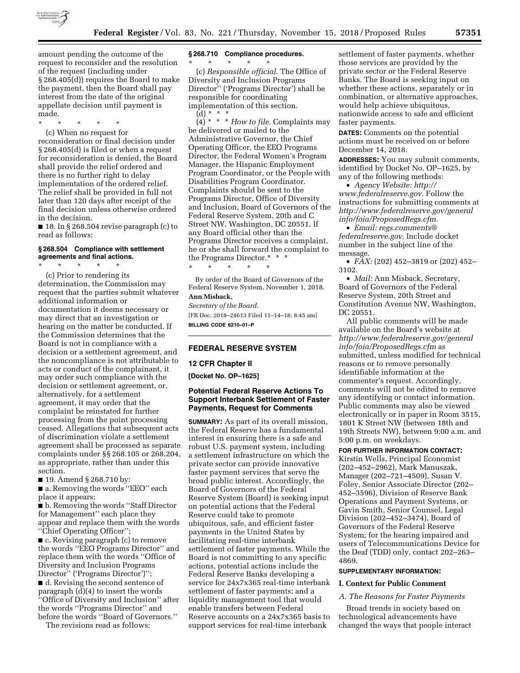

\* \* \* \* \*

(c) When no request for reconsideration or final decision under § 268.405(d) is filed or when a request for reconsideration is denied, the Board shall provide the relief ordered and there is no further right to delay implementation of the ordered relief. The relief shall be provided in full not later than 120 days after receipt of the final decision unless otherwise ordered in the decision.

 $\blacksquare$  18. In § 268.504 revise paragraph (c) to read as follows:

#### **§ 268.504 Compliance with settlement agreements and final actions.**

\* \* \* \* \*

(c) Prior to rendering its determination, the Commission may request that the parties submit whatever additional information or documentation it deems necessary or may direct that an investigation or hearing on the matter be conducted. If the Commission determines that the Board is not in compliance with a decision or a settlement agreement, and the noncompliance is not attributable to acts or conduct of the complainant, it may order such compliance with the decision or settlement agreement, or, alternatively, for a settlement agreement, it may order that the complaint be reinstated for further processing from the point processing ceased. Allegations that subsequent acts of discrimination violate a settlement agreement shall be processed as separate complaints under §§ 268.105 or 268.204, as appropriate, rather than under this section.

■ 19. Amend § 268.710 by:

■ a. Removing the words "EEO" each place it appears;

■ b. Removing the words ''Staff Director for Management'' each place they appear and replace them with the words ''Chief Operating Officer'';

■ c. Revising paragraph (c) to remove the words ''EEO Programs Director'' and replace them with the words ''Office of Diversity and Inclusion Programs Director'' ('Programs Director')''; ■ d. Revising the second sentence of paragraph (d)(4) to insert the words ''Office of Diversity and Inclusion'' after the words ''Programs Director'' and before the words ''Board of Governors.''

The revisions read as follows:

## **§ 268.710 Compliance procedures.**

\* \* \* \* \* (c) *Responsible official.* The Office of Diversity and Inclusion Programs Director'' ('Programs Director') shall be responsible for coordinating implementation of this section. (d) \* \* \*

(4) \* \* \* *How to file.* Complaints may be delivered or mailed to the Administrative Governor, the Chief Operating Officer, the EEO Programs Director, the Federal Women's Program Manager, the Hispanic Employment Program Coordinator, or the People with Disabilities Program Coordinator. Complaints should be sent to the Programs Director, Office of Diversity and Inclusion, Board of Governors of the Federal Reserve System, 20th and C Street NW, Washington, DC 20551. If any Board official other than the Programs Director receives a complaint, he or she shall forward the complaint to the Programs Director.\* \* \*

By order of the Board of Governors of the Federal Reserve System, November 1, 2018. **Ann Misback,** 

*Secretary of the Board.*  [FR Doc. 2018–24613 Filed 11–14–18; 8:45 am] **BILLING CODE 6210–01–P** 

## **FEDERAL RESERVE SYSTEM**

\* \* \* \* \*

#### **12 CFR Chapter II**

**[Docket No. OP–1625]** 

## **Potential Federal Reserve Actions To Support Interbank Settlement of Faster Payments, Request for Comments**

**SUMMARY:** As part of its overall mission, the Federal Reserve has a fundamental interest in ensuring there is a safe and robust U.S. payment system, including a settlement infrastructure on which the private sector can provide innovative faster payment services that serve the broad public interest. Accordingly, the Board of Governors of the Federal Reserve System (Board) is seeking input on potential actions that the Federal Reserve could take to promote ubiquitous, safe, and efficient faster payments in the United States by facilitating real-time interbank settlement of faster payments. While the Board is not committing to any specific actions, potential actions include the Federal Reserve Banks developing a service for 24x7x365 real-time interbank settlement of faster payments; and a liquidity management tool that would enable transfers between Federal Reserve accounts on a 24x7x365 basis to support services for real-time interbank

settlement of faster payments, whether those services are provided by the private sector or the Federal Reserve Banks. The Board is seeking input on whether these actions, separately or in combination, or alternative approaches, would help achieve ubiquitous, nationwide access to safe and efficient faster payments.

**DATES:** Comments on the potential actions must be received on or before December 14, 2018.

**ADDRESSES:** You may submit comments, identified by Docket No. OP–1625, by any of the following methods:

• *Agency Website: [http://](http://www.federalreserve.gov) [www.federalreserve.gov.](http://www.federalreserve.gov)* Follow the instructions for submitting comments at *[http://www.federalreserve.gov/general](http://www.federalreserve.gov/generalinfo/foia/ProposedRegs.cfm) [info/foia/ProposedRegs.cfm.](http://www.federalreserve.gov/generalinfo/foia/ProposedRegs.cfm)* 

• *Email: [regs.comments@](mailto:regs.comments@federalreserve.gov) [federalreserve.gov.](mailto:regs.comments@federalreserve.gov)* Include docket number in the subject line of the message.

• *FAX:* (202) 452–3819 or (202) 452– 3102.

• *Mail:* Ann Misback, Secretary, Board of Governors of the Federal Reserve System, 20th Street and Constitution Avenue NW, Washington, DC 20551.

All public comments will be made available on the Board's website at *[http://www.federalreserve.gov/general](http://www.federalreserve.gov/generalinfo/foia/ProposedRegs.cfm) [info/foia/ProposedRegs.cfm](http://www.federalreserve.gov/generalinfo/foia/ProposedRegs.cfm)* as submitted, unless modified for technical reasons or to remove personally identifiable information at the commenter's request. Accordingly, comments will not be edited to remove any identifying or contact information. Public comments may also be viewed electronically or in paper in Room 3515, 1801 K Street NW (between 18th and 19th Streets NW), between 9:00 a.m. and 5:00 p.m. on weekdays.

**FOR FURTHER INFORMATION CONTACT:**  Kirstin Wells, Principal Economist (202–452–2962), Mark Manuszak, Manager (202–721–4509), Susan V. Foley, Senior Associate Director (202– 452–3596), Division of Reserve Bank Operations and Payment Systems, or Gavin Smith, Senior Counsel, Legal Division (202–452–3474), Board of Governors of the Federal Reserve System; for the hearing impaired and users of Telecommunications Device for the Deaf (TDD) only, contact 202–263– 4869.

#### **SUPPLEMENTARY INFORMATION:**

#### **I. Context for Public Comment**

## *A. The Reasons for Faster Payments*

Broad trends in society based on technological advancements have changed the ways that people interact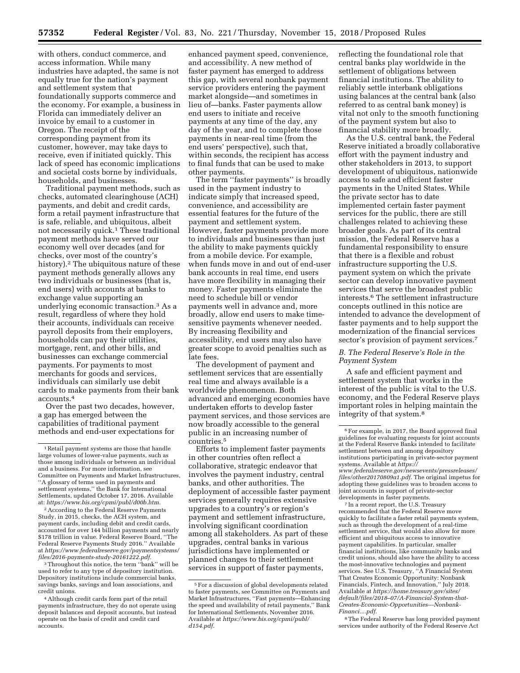with others, conduct commerce, and access information. While many industries have adapted, the same is not equally true for the nation's payment and settlement system that foundationally supports commerce and the economy. For example, a business in Florida can immediately deliver an invoice by email to a customer in Oregon. The receipt of the corresponding payment from its customer, however, may take days to receive, even if initiated quickly. This lack of speed has economic implications and societal costs borne by individuals, households, and businesses.

Traditional payment methods, such as checks, automated clearinghouse (ACH) payments, and debit and credit cards, form a retail payment infrastructure that is safe, reliable, and ubiquitous, albeit not necessarily quick.<sup>1</sup> These traditional payment methods have served our economy well over decades (and for checks, over most of the country's history).<sup>2</sup> The ubiquitous nature of these payment methods generally allows any two individuals or businesses (that is, end users) with accounts at banks to exchange value supporting an underlying economic transaction.3 As a result, regardless of where they hold their accounts, individuals can receive payroll deposits from their employers, households can pay their utilities, mortgage, rent, and other bills, and businesses can exchange commercial payments. For payments to most merchants for goods and services, individuals can similarly use debit cards to make payments from their bank accounts.4

Over the past two decades, however, a gap has emerged between the capabilities of traditional payment methods and end-user expectations for

2According to the Federal Reserve Payments Study, in 2015, checks, the ACH system, and payment cards, including debit and credit cards, accounted for over 144 billion payments and nearly \$178 trillion in value. Federal Reserve Board, ''The Federal Reserve Payments Study 2016.'' Available at *[https://www.federalreserve.gov/paymentsystems/](https://www.federalreserve.gov/paymentsystems/files/2016-payments-study-20161222.pdf) [files/2016-payments-study-20161222.pdf.](https://www.federalreserve.gov/paymentsystems/files/2016-payments-study-20161222.pdf)* 

3Throughout this notice, the term ''bank'' will be used to refer to any type of depository institution. Depository institutions include commercial banks, savings banks, savings and loan associations, and credit unions.

enhanced payment speed, convenience, and accessibility. A new method of faster payment has emerged to address this gap, with several nonbank payment service providers entering the payment market alongside—and sometimes in lieu of—banks. Faster payments allow end users to initiate and receive payments at any time of the day, any day of the year, and to complete those payments in near-real time (from the end users' perspective), such that, within seconds, the recipient has access to final funds that can be used to make other payments.

The term ''faster payments'' is broadly used in the payment industry to indicate simply that increased speed, convenience, and accessibility are essential features for the future of the payment and settlement system. However, faster payments provide more to individuals and businesses than just the ability to make payments quickly from a mobile device. For example, when funds move in and out of end-user bank accounts in real time, end users have more flexibility in managing their money. Faster payments eliminate the need to schedule bill or vendor payments well in advance and, more broadly, allow end users to make timesensitive payments whenever needed. By increasing flexibility and accessibility, end users may also have greater scope to avoid penalties such as late fees.

The development of payment and settlement services that are essentially real time and always available is a worldwide phenomenon. Both advanced and emerging economies have undertaken efforts to develop faster payment services, and those services are now broadly accessible to the general public in an increasing number of countries.5

Efforts to implement faster payments in other countries often reflect a collaborative, strategic endeavor that involves the payment industry, central banks, and other authorities. The deployment of accessible faster payment services generally requires extensive upgrades to a country's or region's payment and settlement infrastructure, involving significant coordination among all stakeholders. As part of these upgrades, central banks in various jurisdictions have implemented or planned changes to their settlement services in support of faster payments,

reflecting the foundational role that central banks play worldwide in the settlement of obligations between financial institutions. The ability to reliably settle interbank obligations using balances at the central bank (also referred to as central bank money) is vital not only to the smooth functioning of the payment system but also to financial stability more broadly.

As the U.S. central bank, the Federal Reserve initiated a broadly collaborative effort with the payment industry and other stakeholders in 2013, to support development of ubiquitous, nationwide access to safe and efficient faster payments in the United States. While the private sector has to date implemented certain faster payment services for the public, there are still challenges related to achieving these broader goals. As part of its central mission, the Federal Reserve has a fundamental responsibility to ensure that there is a flexible and robust infrastructure supporting the U.S. payment system on which the private sector can develop innovative payment services that serve the broadest public interests.6 The settlement infrastructure concepts outlined in this notice are intended to advance the development of faster payments and to help support the modernization of the financial services sector's provision of payment services.<sup>7</sup>

## *B. The Federal Reserve's Role in the Payment System*

A safe and efficient payment and settlement system that works in the interest of the public is vital to the U.S. economy, and the Federal Reserve plays important roles in helping maintain the integrity of that system.8

*[files/other20170809a1.pdf.](https://www.federalreserve.gov/newsevents/pressreleases/files/other20170809a1.pdf)* The original impetus for adopting these guidelines was to broaden access to joint accounts in support of private-sector developments in faster payments.

7 In a recent report, the U.S. Treasury recommended that the Federal Reserve move quickly to facilitate a faster retail payments system, such as through the development of a real-time settlement service, that would also allow for more efficient and ubiquitous access to innovative payment capabilities. In particular, smaller financial institutions, like community banks and credit unions, should also have the ability to access the most-innovative technologies and payment services. See U.S. Treasury, ''A Financial System That Creates Economic Opportunity: Nonbank Financials, Fintech, and Innovation,'' July 2018. Available at *[https://home.treasury.gov/sites/](https://home.treasury.gov/sites/default/files/2018-07/A-Financial-System-that-Creates-Economic-Opportunities---Nonbank-Financi....pdf)  [default/files/2018–07/A-Financial-System-that-](https://home.treasury.gov/sites/default/files/2018-07/A-Financial-System-that-Creates-Economic-Opportunities---Nonbank-Financi....pdf)[Creates-Economic-Opportunities---Nonbank-](https://home.treasury.gov/sites/default/files/2018-07/A-Financial-System-that-Creates-Economic-Opportunities---Nonbank-Financi....pdf)[Financi....pdf.](https://home.treasury.gov/sites/default/files/2018-07/A-Financial-System-that-Creates-Economic-Opportunities---Nonbank-Financi....pdf)* 

8The Federal Reserve has long provided payment services under authority of the Federal Reserve Act

<sup>1</sup>Retail payment systems are those that handle large volumes of lower-value payments, such as those among individuals or between an individual and a business. For more information, see Committee on Payments and Market Infrastructures, ''A glossary of terms used in payments and settlement systems,'' the Bank for International Settlements, updated October 17, 2016. Available at: *[https://www.bis.org/cpmi/publ/d00b.htm.](https://www.bis.org/cpmi/publ/d00b.htm)* 

<sup>4</sup>Although credit cards form part of the retail payments infrastructure, they do not operate using deposit balances and deposit accounts, but instead operate on the basis of credit and credit card accounts.

<sup>5</sup>For a discussion of global developments related to faster payments, see Committee on Payments and Market Infrastructures, ''Fast payments—Enhancing the speed and availability of retail payments,'' Bank for International Settlements, November 2016. Available at *[https://www.bis.org/cpmi/publ/](https://www.bis.org/cpmi/publ/d154.pdf) [d154.pdf.](https://www.bis.org/cpmi/publ/d154.pdf)* 

<sup>6</sup>For example, in 2017, the Board approved final guidelines for evaluating requests for joint accounts at the Federal Reserve Banks intended to facilitate settlement between and among depository institutions participating in private-sector payment systems. Available at *[https://](https://www.federalreserve.gov/newsevents/pressreleases/files/other20170809a1.pdf) [www.federalreserve.gov/newsevents/pressreleases/](https://www.federalreserve.gov/newsevents/pressreleases/files/other20170809a1.pdf)*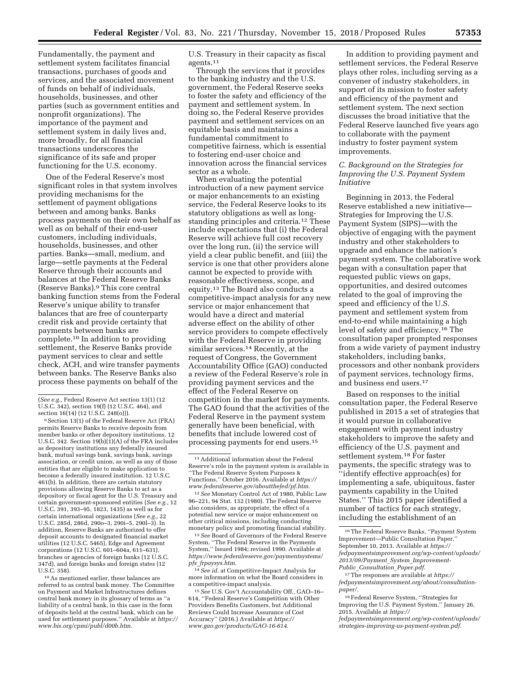Fundamentally, the payment and settlement system facilitates financial transactions, purchases of goods and services, and the associated movement of funds on behalf of individuals, households, businesses, and other parties (such as government entities and nonprofit organizations). The importance of the payment and settlement system in daily lives and, more broadly, for all financial transactions underscores the significance of its safe and proper functioning for the U.S. economy.

One of the Federal Reserve's most significant roles in that system involves providing mechanisms for the settlement of payment obligations between and among banks. Banks process payments on their own behalf as well as on behalf of their end-user customers, including individuals, households, businesses, and other parties. Banks—small, medium, and large—settle payments at the Federal Reserve through their accounts and balances at the Federal Reserve Banks (Reserve Banks).9 This core central banking function stems from the Federal Reserve's unique ability to transfer balances that are free of counterparty credit risk and provide certainty that payments between banks are complete.10 In addition to providing settlement, the Reserve Banks provide payment services to clear and settle check, ACH, and wire transfer payments between banks. The Reserve Banks also process these payments on behalf of the

9Section 13(1) of the Federal Reserve Act (FRA) permits Reserve Banks to receive deposits from member banks or other depository institutions. 12 U.S.C. 342. Section  $19(b)(1)(A)$  of the FRA includes as depository institutions any federally insured bank, mutual savings bank, savings bank, savings association, or credit union, as well as any of those entities that are eligible to make application to become a federally insured institution. 12 U.S.C. 461(b). In addition, there are certain statutory provisions allowing Reserve Banks to act as a depository or fiscal agent for the U.S. Treasury and certain government-sponsored entities (*See e.g.,* 12 U.S.C. 391, 393–95, 1823, 1435) as well as for certain international organizations (*See e.g.,* 22 U.S.C. 285d, 286d, 290o–3, 290i–5, 290l–3). In addition, Reserve Banks are authorized to offer deposit accounts to designated financial market utilities (12 U.S.C. 5465), Edge and Agreement corporations (12 U.S.C. 601–604a, 611–631), branches or agencies of foreign banks (12 U.S.C. 347d), and foreign banks and foreign states (12 U.S.C. 358).

10As mentioned earlier, these balances are referred to as central bank money. The Committee on Payment and Market Infrastructures defines central bank money in its glossary of terms as ''a liability of a central bank, in this case in the form of deposits held at the central bank, which can be used for settlement purposes.'' Available at *[https://](https://www.bis.org/cpmi/publ/d00b.htm) [www.bis.org/cpmi/publ/d00b.htm.](https://www.bis.org/cpmi/publ/d00b.htm)* 

U.S. Treasury in their capacity as fiscal agents.11

Through the services that it provides to the banking industry and the U.S. government, the Federal Reserve seeks to foster the safety and efficiency of the payment and settlement system. In doing so, the Federal Reserve provides payment and settlement services on an equitable basis and maintains a fundamental commitment to competitive fairness, which is essential to fostering end-user choice and innovation across the financial services sector as a whole.

When evaluating the potential introduction of a new payment service or major enhancements to an existing service, the Federal Reserve looks to its statutory obligations as well as longstanding principles and criteria.12 These include expectations that (i) the Federal Reserve will achieve full cost recovery over the long run, (ii) the service will yield a clear public benefit, and (iii) the service is one that other providers alone cannot be expected to provide with reasonable effectiveness, scope, and equity.13 The Board also conducts a competitive-impact analysis for any new service or major enhancement that would have a direct and material adverse effect on the ability of other service providers to compete effectively with the Federal Reserve in providing similar services.<sup>14</sup> Recently, at the request of Congress, the Government Accountability Office (GAO) conducted a review of the Federal Reserve's role in providing payment services and the effect of the Federal Reserve on competition in the market for payments. The GAO found that the activities of the Federal Reserve in the payment system generally have been beneficial, with benefits that include lowered cost of processing payments for end users.15

13*See* Board of Governors of the Federal Reserve System, ''The Federal Reserve in the Payments System,'' Issued 1984; revised 1990. Available at *[https://www.federalreserve.gov/paymentsystems/](https://www.federalreserve.gov/paymentsystems/pfs_frpaysys.htm) pfs*\_*[frpaysys.htm.](https://www.federalreserve.gov/paymentsystems/pfs_frpaysys.htm)* 

14*See id.* at Competitive-Impact Analysis for more information on what the Board considers in a competitive-impact analysis.

15*See* U.S. Gov't Accountability Off., GAO–16– 614, ''Federal Reserve's Competition with Other Providers Benefits Customers, but Additional Reviews Could Increase Assurance of Cost Accuracy'' (2016.) Available at *[https://](https://www.gao.gov/products/GAO-16-614) [www.gao.gov/products/GAO-16-614.](https://www.gao.gov/products/GAO-16-614)* 

In addition to providing payment and settlement services, the Federal Reserve plays other roles, including serving as a convener of industry stakeholders, in support of its mission to foster safety and efficiency of the payment and settlement system. The next section discusses the broad initiative that the Federal Reserve launched five years ago to collaborate with the payment industry to foster payment system improvements.

## *C. Background on the Strategies for Improving the U.S. Payment System Initiative*

Beginning in 2013, the Federal Reserve established a new initiative— Strategies for Improving the U.S. Payment System (SIPS)—with the objective of engaging with the payment industry and other stakeholders to upgrade and enhance the nation's payment system. The collaborative work began with a consultation paper that requested public views on gaps, opportunities, and desired outcomes related to the goal of improving the speed and efficiency of the U.S. payment and settlement system from end-to-end while maintaining a high level of safety and efficiency.16 The consultation paper prompted responses from a wide variety of payment industry stakeholders, including banks, processors and other nonbank providers of payment services, technology firms, and business end users.17

Based on responses to the initial consultation paper, the Federal Reserve published in 2015 a set of strategies that it would pursue in collaborative engagement with payment industry stakeholders to improve the safety and efficiency of the U.S. payment and settlement system.18 For faster payments, the specific strategy was to ''identify effective approach(es) for implementing a safe, ubiquitous, faster payments capability in the United States.'' This 2015 paper identified a number of tactics for each strategy, including the establishment of an

18Federal Reserve System, ''Strategies for Improving the U.S. Payment System,'' January 26, 2015. Available at *[https://](https://fedpaymentsimprovement.org/wp-content/uploads/strategies-improving-us-payment-system.pdf)*

*[fedpaymentsimprovement.org/wp-content/uploads/](https://fedpaymentsimprovement.org/wp-content/uploads/strategies-improving-us-payment-system.pdf) [strategies-improving-us-payment-system.pdf.](https://fedpaymentsimprovement.org/wp-content/uploads/strategies-improving-us-payment-system.pdf)* 

<sup>(</sup>*See e.g.,* Federal Reserve Act section 13(1) (12 U.S.C. 342), section 19(f) (12 U.S.C. 464), and section 16(14) (12 U.S.C. 248(o))).

<sup>11</sup>Additional information about the Federal Reserve's role in the payment system is available in ''The Federal Reserve System Purposes & Functions,'' October 2016. Available at *[https://](https://www.federalreserve.gov/aboutthefed/pf.htm) [www.federalreserve.gov/aboutthefed/pf.htm.](https://www.federalreserve.gov/aboutthefed/pf.htm)* 

<sup>12</sup>*See* Monetary Control Act of 1980, Public Law 96–221, 94 Stat. 132 (1980). The Federal Reserve also considers, as appropriate, the effect of a potential new service or major enhancement on other critical missions, including conducting monetary policy and promoting financial stability.

<sup>16</sup>The Federal Reserve Banks, ''Payment System Improvement—Public Consultation Paper,'' September 10, 2013. Available at *[https://](https://fedpaymentsimprovement.org/wp-content/uploads/2013/09/Payment_System_Improvement-Public_Consultation_Paper.pdf) [fedpaymentsimprovement.org/wp-content/uploads/](https://fedpaymentsimprovement.org/wp-content/uploads/2013/09/Payment_System_Improvement-Public_Consultation_Paper.pdf) [2013/09/Payment](https://fedpaymentsimprovement.org/wp-content/uploads/2013/09/Payment_System_Improvement-Public_Consultation_Paper.pdf)*\_*System*\_*Improvement-Public*\_*[Consultation](https://fedpaymentsimprovement.org/wp-content/uploads/2013/09/Payment_System_Improvement-Public_Consultation_Paper.pdf)*\_*Paper.pdf.* 

<sup>17</sup>The responses are available at *[https://](https://fedpaymentsimprovement.org/about/consultation-paper/) [fedpaymentsimprovement.org/about/consultation](https://fedpaymentsimprovement.org/about/consultation-paper/)[paper/.](https://fedpaymentsimprovement.org/about/consultation-paper/)*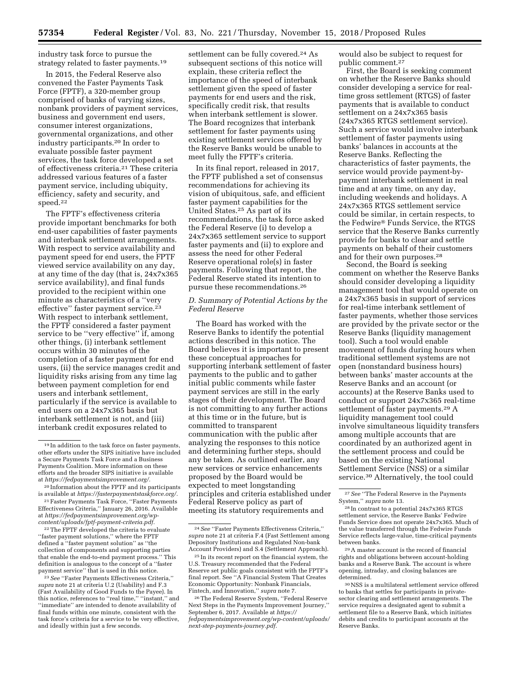industry task force to pursue the strategy related to faster payments.<sup>19</sup>

In 2015, the Federal Reserve also convened the Faster Payments Task Force (FPTF), a 320-member group comprised of banks of varying sizes, nonbank providers of payment services, business and government end users, consumer interest organizations, governmental organizations, and other industry participants.20 In order to evaluate possible faster payment services, the task force developed a set of effectiveness criteria.21 These criteria addressed various features of a faster payment service, including ubiquity, efficiency, safety and security, and speed.22

The FPTF's effectiveness criteria provide important benchmarks for both end-user capabilities of faster payments and interbank settlement arrangements. With respect to service availability and payment speed for end users, the FPTF viewed service availability on any day, at any time of the day (that is, 24x7x365 service availability), and final funds provided to the recipient within one minute as characteristics of a ''very effective" faster payment service.<sup>23</sup> With respect to interbank settlement, the FPTF considered a faster payment service to be ''very effective'' if, among other things, (i) interbank settlement occurs within 30 minutes of the completion of a faster payment for end users, (ii) the service manages credit and liquidity risks arising from any time lag between payment completion for end users and interbank settlement, particularly if the service is available to end users on a 24x7x365 basis but interbank settlement is not, and (iii) interbank credit exposures related to

22The FPTF developed the criteria to evaluate ''faster payment solutions,'' where the FPTF defined a ''faster payment solution'' as ''the collection of components and supporting parties that enable the end-to-end payment process.'' This definition is analogous to the concept of a ''faster payment service'' that is used in this notice.

23*See* ''Faster Payments Effectiveness Criteria,'' *supra* note 21 at criteria U.2 (Usability) and F.3 (Fast Availability of Good Funds to the Payee). In this notice, references to ''real time,'' ''instant,'' and ''immediate'' are intended to denote availability of final funds within one minute, consistent with the task force's criteria for a service to be very effective, and ideally within just a few seconds.

settlement can be fully covered.<sup>24</sup> As subsequent sections of this notice will explain, these criteria reflect the importance of the speed of interbank settlement given the speed of faster payments for end users and the risk, specifically credit risk, that results when interbank settlement is slower. The Board recognizes that interbank settlement for faster payments using existing settlement services offered by the Reserve Banks would be unable to meet fully the FPTF's criteria.

In its final report, released in 2017, the FPTF published a set of consensus recommendations for achieving its vision of ubiquitous, safe, and efficient faster payment capabilities for the United States.25 As part of its recommendations, the task force asked the Federal Reserve (i) to develop a 24x7x365 settlement service to support faster payments and (ii) to explore and assess the need for other Federal Reserve operational role(s) in faster payments. Following that report, the Federal Reserve stated its intention to pursue these recommendations.26

## *D. Summary of Potential Actions by the Federal Reserve*

The Board has worked with the Reserve Banks to identify the potential actions described in this notice. The Board believes it is important to present these conceptual approaches for supporting interbank settlement of faster payments to the public and to gather initial public comments while faster payment services are still in the early stages of their development. The Board is not committing to any further actions at this time or in the future, but is committed to transparent communication with the public after analyzing the responses to this notice and determining further steps, should any be taken. As outlined earlier, any new services or service enhancements proposed by the Board would be expected to meet longstanding principles and criteria established under Federal Reserve policy as part of meeting its statutory requirements and

would also be subject to request for public comment.27

First, the Board is seeking comment on whether the Reserve Banks should consider developing a service for realtime gross settlement (RTGS) of faster payments that is available to conduct settlement on a 24x7x365 basis (24x7x365 RTGS settlement service). Such a service would involve interbank settlement of faster payments using banks' balances in accounts at the Reserve Banks. Reflecting the characteristics of faster payments, the service would provide payment-bypayment interbank settlement in real time and at any time, on any day, including weekends and holidays. A 24x7x365 RTGS settlement service could be similar, in certain respects, to the Fedwire® Funds Service, the RTGS service that the Reserve Banks currently provide for banks to clear and settle payments on behalf of their customers and for their own purposes.28

Second, the Board is seeking comment on whether the Reserve Banks should consider developing a liquidity management tool that would operate on a 24x7x365 basis in support of services for real-time interbank settlement of faster payments, whether those services are provided by the private sector or the Reserve Banks (liquidity management tool). Such a tool would enable movement of funds during hours when traditional settlement systems are not open (nonstandard business hours) between banks' master accounts at the Reserve Banks and an account (or accounts) at the Reserve Banks used to conduct or support 24x7x365 real-time settlement of faster payments.29 A liquidity management tool could involve simultaneous liquidity transfers among multiple accounts that are coordinated by an authorized agent in the settlement process and could be based on the existing National Settlement Service (NSS) or a similar service.30 Alternatively, the tool could

29A master account is the record of financial rights and obligations between account-holding banks and a Reserve Bank. The account is where opening, intraday, and closing balances are determined.

<sup>19</sup> In addition to the task force on faster payments, other efforts under the SIPS initiative have included a Secure Payments Task Force and a Business Payments Coalition. More information on these efforts and the broader SIPS initiative is available at *[https://fedpaymentsimprovement.org/.](https://fedpaymentsimprovement.org/)* 

<sup>20</sup> Information about the FPTF and its participants is available at *[https://fasterpaymentstaskforce.org/.](https://fasterpaymentstaskforce.org/)*  21Faster Payments Task Force, ''Faster Payments

Effectiveness Criteria,'' January 26, 2016. Available at *[https://fedpaymentsimprovement.org/wp](https://fedpaymentsimprovement.org/wp-content/uploads/fptf-payment-criteria.pdf)[content/uploads/fptf-payment-criteria.pdf.](https://fedpaymentsimprovement.org/wp-content/uploads/fptf-payment-criteria.pdf)* 

<sup>24</sup>*See* ''Faster Payments Effectiveness Criteria,'' *supra* note 21 at criteria F.4 (Fast Settlement among Depository Institutions and Regulated Non-bank Account Providers) and S.4 (Settlement Approach).

<sup>25</sup> In its recent report on the financial system, the U.S. Treasury recommended that the Federal Reserve set public goals consistent with the FPTF's final report. See ''A Financial System That Creates Economic Opportunity: Nonbank Financials, Fintech, and Innovation,'' *supra* note 7.

<sup>26</sup>The Federal Reserve System, ''Federal Reserve Next Steps in the Payments Improvement Journey,'' September 6, 2017. Available at *[https://](https://fedpaymentsimprovement.org/wp-content/uploads/next-step-payments-journey.pdf) [fedpaymentsimprovement.org/wp-content/uploads/](https://fedpaymentsimprovement.org/wp-content/uploads/next-step-payments-journey.pdf) [next-step-payments-journey.pdf.](https://fedpaymentsimprovement.org/wp-content/uploads/next-step-payments-journey.pdf)* 

<sup>27</sup>*See* ''The Federal Reserve in the Payments System,'' *supra* note 13.

<sup>28</sup> In contrast to a potential 24x7x365 RTGS settlement service, the Reserve Banks' Fedwire Funds Service does not operate 24x7x365. Much of the value transferred through the Fedwire Funds Service reflects large-value, time-critical payments between banks.

<sup>30</sup>NSS is a multilateral settlement service offered to banks that settles for participants in privatesector clearing and settlement arrangements. The service requires a designated agent to submit a settlement file to a Reserve Bank, which initiates debits and credits to participant accounts at the Reserve Banks.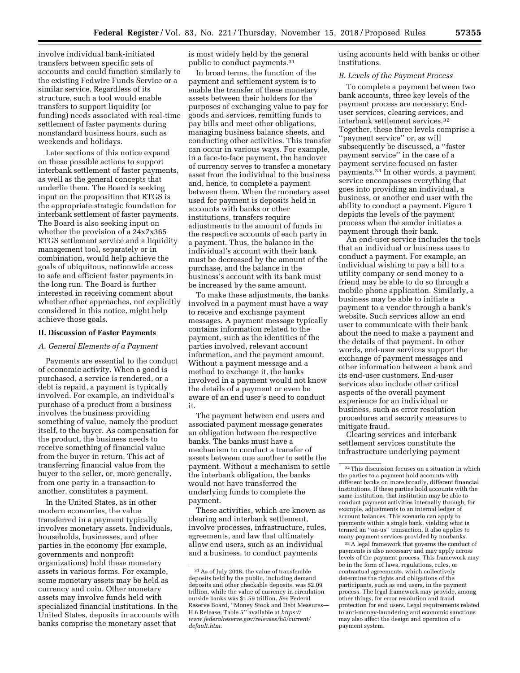involve individual bank-initiated transfers between specific sets of accounts and could function similarly to the existing Fedwire Funds Service or a similar service. Regardless of its structure, such a tool would enable transfers to support liquidity (or funding) needs associated with real-time settlement of faster payments during nonstandard business hours, such as weekends and holidays.

Later sections of this notice expand on these possible actions to support interbank settlement of faster payments, as well as the general concepts that underlie them. The Board is seeking input on the proposition that RTGS is the appropriate strategic foundation for interbank settlement of faster payments. The Board is also seeking input on whether the provision of a 24x7x365 RTGS settlement service and a liquidity management tool, separately or in combination, would help achieve the goals of ubiquitous, nationwide access to safe and efficient faster payments in the long run. The Board is further interested in receiving comment about whether other approaches, not explicitly considered in this notice, might help achieve those goals.

#### **II. Discussion of Faster Payments**

#### *A. General Elements of a Payment*

Payments are essential to the conduct of economic activity. When a good is purchased, a service is rendered, or a debt is repaid, a payment is typically involved. For example, an individual's purchase of a product from a business involves the business providing something of value, namely the product itself, to the buyer. As compensation for the product, the business needs to receive something of financial value from the buyer in return. This act of transferring financial value from the buyer to the seller, or, more generally, from one party in a transaction to another, constitutes a payment.

In the United States, as in other modern economies, the value transferred in a payment typically involves monetary assets. Individuals, households, businesses, and other parties in the economy (for example, governments and nonprofit organizations) hold these monetary assets in various forms. For example, some monetary assets may be held as currency and coin. Other monetary assets may involve funds held with specialized financial institutions. In the United States, deposits in accounts with banks comprise the monetary asset that

is most widely held by the general public to conduct payments.31

In broad terms, the function of the payment and settlement system is to enable the transfer of these monetary assets between their holders for the purposes of exchanging value to pay for goods and services, remitting funds to pay bills and meet other obligations, managing business balance sheets, and conducting other activities. This transfer can occur in various ways. For example, in a face-to-face payment, the handover of currency serves to transfer a monetary asset from the individual to the business and, hence, to complete a payment between them. When the monetary asset used for payment is deposits held in accounts with banks or other institutions, transfers require adjustments to the amount of funds in the respective accounts of each party in a payment. Thus, the balance in the individual's account with their bank must be decreased by the amount of the purchase, and the balance in the business's account with its bank must be increased by the same amount.

To make these adjustments, the banks involved in a payment must have a way to receive and exchange payment messages. A payment message typically contains information related to the payment, such as the identities of the parties involved, relevant account information, and the payment amount. Without a payment message and a method to exchange it, the banks involved in a payment would not know the details of a payment or even be aware of an end user's need to conduct it.

The payment between end users and associated payment message generates an obligation between the respective banks. The banks must have a mechanism to conduct a transfer of assets between one another to settle the payment. Without a mechanism to settle the interbank obligation, the banks would not have transferred the underlying funds to complete the payment.

These activities, which are known as clearing and interbank settlement, involve processes, infrastructure, rules, agreements, and law that ultimately allow end users, such as an individual and a business, to conduct payments

using accounts held with banks or other institutions.

#### *B. Levels of the Payment Process*

To complete a payment between two bank accounts, three key levels of the payment process are necessary: Enduser services, clearing services, and interbank settlement services.32 Together, these three levels comprise a ''payment service'' or, as will subsequently be discussed, a ''faster payment service'' in the case of a payment service focused on faster payments.33 In other words, a payment service encompasses everything that goes into providing an individual, a business, or another end user with the ability to conduct a payment. Figure 1 depicts the levels of the payment process when the sender initiates a payment through their bank.

An end-user service includes the tools that an individual or business uses to conduct a payment. For example, an individual wishing to pay a bill to a utility company or send money to a friend may be able to do so through a mobile phone application. Similarly, a business may be able to initiate a payment to a vendor through a bank's website. Such services allow an end user to communicate with their bank about the need to make a payment and the details of that payment. In other words, end-user services support the exchange of payment messages and other information between a bank and its end-user customers. End-user services also include other critical aspects of the overall payment experience for an individual or business, such as error resolution procedures and security measures to mitigate fraud.

Clearing services and interbank settlement services constitute the infrastructure underlying payment

33A legal framework that governs the conduct of payments is also necessary and may apply across levels of the payment process. This framework may be in the form of laws, regulations, rules, or contractual agreements, which collectively determine the rights and obligations of the participants, such as end users, in the payment process. The legal framework may provide, among other things, for error resolution and fraud protection for end users. Legal requirements related to anti-money-laundering and economic sanctions may also affect the design and operation of a payment system.

<sup>31</sup>As of July 2018, the value of transferable deposits held by the public, including demand deposits and other checkable deposits, was \$2.09 trillion, while the value of currency in circulation outside banks was \$1.59 trillion. *See* Federal Reserve Board, ''Money Stock and Debt Measures— H.6 Release, Table 5'' available at *[https://](https://www.federalreserve.gov/releases/h6/current/default.htm) [www.federalreserve.gov/releases/h6/current/](https://www.federalreserve.gov/releases/h6/current/default.htm)  [default.htm.](https://www.federalreserve.gov/releases/h6/current/default.htm)* 

<sup>32</sup>This discussion focuses on a situation in which the parties to a payment hold accounts with different banks or, more broadly, different financial institutions. If these parties hold accounts with the same institution, that institution may be able to conduct payment activities internally through, for example, adjustments to an internal ledger of account balances. This scenario can apply to payments within a single bank, yielding what is termed an ''on-us'' transaction. It also applies to many payment services provided by nonbanks.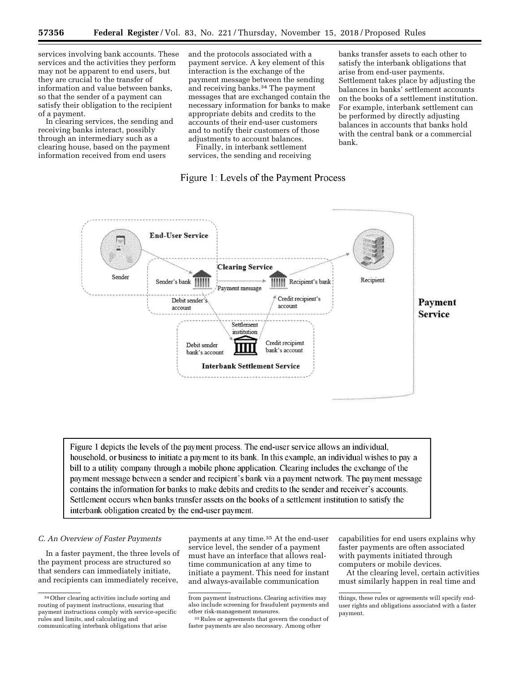services involving bank accounts. These services and the activities they perform may not be apparent to end users, but they are crucial to the transfer of information and value between banks, so that the sender of a payment can satisfy their obligation to the recipient of a payment.

In clearing services, the sending and receiving banks interact, possibly through an intermediary such as a clearing house, based on the payment information received from end users

and the protocols associated with a payment service. A key element of this interaction is the exchange of the payment message between the sending and receiving banks.34 The payment messages that are exchanged contain the necessary information for banks to make appropriate debits and credits to the accounts of their end-user customers and to notify their customers of those adjustments to account balances.

Finally, in interbank settlement services, the sending and receiving

## Figure 1: Levels of the Payment Process

banks transfer assets to each other to satisfy the interbank obligations that arise from end-user payments. Settlement takes place by adjusting the balances in banks' settlement accounts on the books of a settlement institution. For example, interbank settlement can be performed by directly adjusting balances in accounts that banks hold with the central bank or a commercial bank.



Figure 1 depicts the levels of the payment process. The end-user service allows an individual, household, or business to initiate a payment to its bank. In this example, an individual wishes to pay a bill to a utility company through a mobile phone application. Clearing includes the exchange of the payment message between a sender and recipient's bank via a payment network. The payment message contains the information for banks to make debits and credits to the sender and receiver's accounts. Settlement occurs when banks transfer assets on the books of a settlement institution to satisfy the interbank obligation created by the end-user payment.

## *C. An Overview of Faster Payments*

In a faster payment, the three levels of the payment process are structured so that senders can immediately initiate, and recipients can immediately receive,

payments at any time.35 At the end-user service level, the sender of a payment must have an interface that allows realtime communication at any time to initiate a payment. This need for instant and always-available communication

capabilities for end users explains why faster payments are often associated with payments initiated through computers or mobile devices.

At the clearing level, certain activities must similarly happen in real time and

<sup>34</sup>Other clearing activities include sorting and routing of payment instructions, ensuring that payment instructions comply with service-specific rules and limits, and calculating and communicating interbank obligations that arise

from payment instructions. Clearing activities may also include screening for fraudulent payments and other risk-management measures.

<sup>35</sup>Rules or agreements that govern the conduct of faster payments are also necessary. Among other

things, these rules or agreements will specify enduser rights and obligations associated with a faster payment.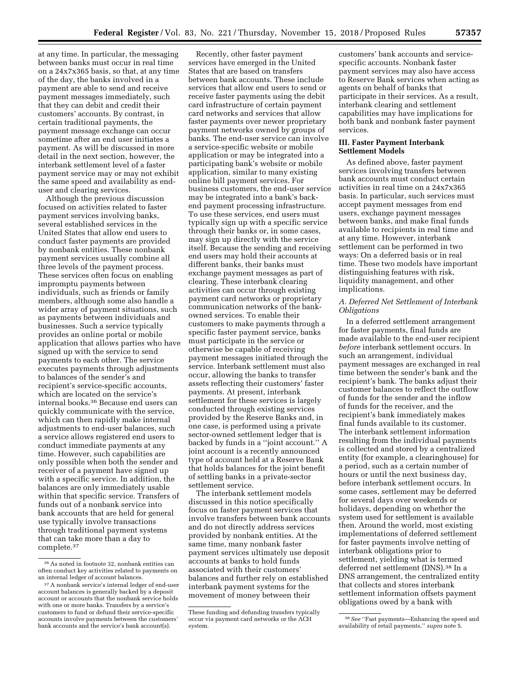at any time. In particular, the messaging between banks must occur in real time on a 24x7x365 basis, so that, at any time of the day, the banks involved in a payment are able to send and receive payment messages immediately, such that they can debit and credit their customers' accounts. By contrast, in certain traditional payments, the payment message exchange can occur sometime after an end user initiates a payment. As will be discussed in more detail in the next section, however, the interbank settlement level of a faster payment service may or may not exhibit the same speed and availability as enduser and clearing services.

Although the previous discussion focused on activities related to faster payment services involving banks, several established services in the United States that allow end users to conduct faster payments are provided by nonbank entities. These nonbank payment services usually combine all three levels of the payment process. These services often focus on enabling impromptu payments between individuals, such as friends or family members, although some also handle a wider array of payment situations, such as payments between individuals and businesses. Such a service typically provides an online portal or mobile application that allows parties who have signed up with the service to send payments to each other. The service executes payments through adjustments to balances of the sender's and recipient's service-specific accounts, which are located on the service's internal books.36 Because end users can quickly communicate with the service, which can then rapidly make internal adjustments to end-user balances, such a service allows registered end users to conduct immediate payments at any time. However, such capabilities are only possible when both the sender and receiver of a payment have signed up with a specific service. In addition, the balances are only immediately usable within that specific service. Transfers of funds out of a nonbank service into bank accounts that are held for general use typically involve transactions through traditional payment systems that can take more than a day to complete.37

Recently, other faster payment services have emerged in the United States that are based on transfers between bank accounts. These include services that allow end users to send or receive faster payments using the debit card infrastructure of certain payment card networks and services that allow faster payments over newer proprietary payment networks owned by groups of banks. The end-user service can involve a service-specific website or mobile application or may be integrated into a participating bank's website or mobile application, similar to many existing online bill payment services. For business customers, the end-user service may be integrated into a bank's backend payment processing infrastructure. To use these services, end users must typically sign up with a specific service through their banks or, in some cases, may sign up directly with the service itself. Because the sending and receiving end users may hold their accounts at different banks, their banks must exchange payment messages as part of clearing. These interbank clearing activities can occur through existing payment card networks or proprietary communication networks of the bankowned services. To enable their customers to make payments through a specific faster payment service, banks must participate in the service or otherwise be capable of receiving payment messages initiated through the service. Interbank settlement must also occur, allowing the banks to transfer assets reflecting their customers' faster payments. At present, interbank settlement for these services is largely conducted through existing services provided by the Reserve Banks and, in one case, is performed using a private sector-owned settlement ledger that is backed by funds in a ''joint account.'' A joint account is a recently announced type of account held at a Reserve Bank that holds balances for the joint benefit of settling banks in a private-sector settlement service.

The interbank settlement models discussed in this notice specifically focus on faster payment services that involve transfers between bank accounts and do not directly address services provided by nonbank entities. At the same time, many nonbank faster payment services ultimately use deposit accounts at banks to hold funds associated with their customers' balances and further rely on established interbank payment systems for the movement of money between their

customers' bank accounts and servicespecific accounts. Nonbank faster payment services may also have access to Reserve Bank services when acting as agents on behalf of banks that participate in their services. As a result, interbank clearing and settlement capabilities may have implications for both bank and nonbank faster payment services.

#### **III. Faster Payment Interbank Settlement Models**

As defined above, faster payment services involving transfers between bank accounts must conduct certain activities in real time on a 24x7x365 basis. In particular, such services must accept payment messages from end users, exchange payment messages between banks, and make final funds available to recipients in real time and at any time. However, interbank settlement can be performed in two ways: On a deferred basis or in real time. These two models have important distinguishing features with risk, liquidity management, and other implications.

## *A. Deferred Net Settlement of Interbank Obligations*

In a deferred settlement arrangement for faster payments, final funds are made available to the end-user recipient *before* interbank settlement occurs. In such an arrangement, individual payment messages are exchanged in real time between the sender's bank and the recipient's bank. The banks adjust their customer balances to reflect the outflow of funds for the sender and the inflow of funds for the receiver, and the recipient's bank immediately makes final funds available to its customer. The interbank settlement information resulting from the individual payments is collected and stored by a centralized entity (for example, a clearinghouse) for a period, such as a certain number of hours or until the next business day, before interbank settlement occurs. In some cases, settlement may be deferred for several days over weekends or holidays, depending on whether the system used for settlement is available then. Around the world, most existing implementations of deferred settlement for faster payments involve netting of interbank obligations prior to settlement, yielding what is termed deferred net settlement (DNS).38 In a DNS arrangement, the centralized entity that collects and stores interbank settlement information offsets payment obligations owed by a bank with

<sup>36</sup>As noted in footnote 32, nonbank entities can often conduct key activities related to payments on an internal ledger of account balances.

<sup>37</sup>A nonbank service's internal ledger of end-user account balances is generally backed by a deposit account or accounts that the nonbank service holds with one or more banks. Transfers by a service's customers to fund or defund their service-specific accounts involve payments between the customers' bank accounts and the service's bank account(s).

These funding and defunding transfers typically occur via payment card networks or the ACH system.

<sup>38</sup>*See* ''Fast payments—Enhancing the speed and availability of retail payments,'' *supra* note 5.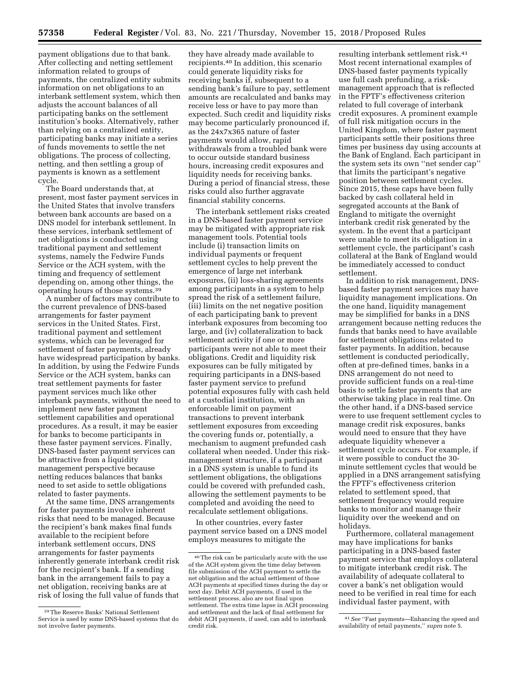payment obligations due to that bank. After collecting and netting settlement information related to groups of payments, the centralized entity submits information on net obligations to an interbank settlement system, which then adjusts the account balances of all participating banks on the settlement institution's books. Alternatively, rather than relying on a centralized entity, participating banks may initiate a series of funds movements to settle the net obligations. The process of collecting, netting, and then settling a group of payments is known as a settlement cycle.

The Board understands that, at present, most faster payment services in the United States that involve transfers between bank accounts are based on a DNS model for interbank settlement. In these services, interbank settlement of net obligations is conducted using traditional payment and settlement systems, namely the Fedwire Funds Service or the ACH system, with the timing and frequency of settlement depending on, among other things, the operating hours of those systems.39

A number of factors may contribute to the current prevalence of DNS-based arrangements for faster payment services in the United States. First, traditional payment and settlement systems, which can be leveraged for settlement of faster payments, already have widespread participation by banks. In addition, by using the Fedwire Funds Service or the ACH system, banks can treat settlement payments for faster payment services much like other interbank payments, without the need to implement new faster payment settlement capabilities and operational procedures. As a result, it may be easier for banks to become participants in these faster payment services. Finally, DNS-based faster payment services can be attractive from a liquidity management perspective because netting reduces balances that banks need to set aside to settle obligations related to faster payments.

At the same time, DNS arrangements for faster payments involve inherent risks that need to be managed. Because the recipient's bank makes final funds available to the recipient before interbank settlement occurs, DNS arrangements for faster payments inherently generate interbank credit risk for the recipient's bank. If a sending bank in the arrangement fails to pay a net obligation, receiving banks are at risk of losing the full value of funds that they have already made available to recipients.40 In addition, this scenario could generate liquidity risks for receiving banks if, subsequent to a sending bank's failure to pay, settlement amounts are recalculated and banks may receive less or have to pay more than expected. Such credit and liquidity risks may become particularly pronounced if, as the 24x7x365 nature of faster payments would allow, rapid withdrawals from a troubled bank were to occur outside standard business hours, increasing credit exposures and liquidity needs for receiving banks. During a period of financial stress, these risks could also further aggravate financial stability concerns.

The interbank settlement risks created in a DNS-based faster payment service may be mitigated with appropriate risk management tools. Potential tools include (i) transaction limits on individual payments or frequent settlement cycles to help prevent the emergence of large net interbank exposures, (ii) loss-sharing agreements among participants in a system to help spread the risk of a settlement failure, (iii) limits on the net negative position of each participating bank to prevent interbank exposures from becoming too large, and (iv) collateralization to back settlement activity if one or more participants were not able to meet their obligations. Credit and liquidity risk exposures can be fully mitigated by requiring participants in a DNS-based faster payment service to prefund potential exposures fully with cash held at a custodial institution, with an enforceable limit on payment transactions to prevent interbank settlement exposures from exceeding the covering funds or, potentially, a mechanism to augment prefunded cash collateral when needed. Under this riskmanagement structure, if a participant in a DNS system is unable to fund its settlement obligations, the obligations could be covered with prefunded cash, allowing the settlement payments to be completed and avoiding the need to recalculate settlement obligations.

In other countries, every faster payment service based on a DNS model employs measures to mitigate the

resulting interbank settlement risk.41 Most recent international examples of DNS-based faster payments typically use full cash prefunding, a riskmanagement approach that is reflected in the FPTF's effectiveness criterion related to full coverage of interbank credit exposures. A prominent example of full risk mitigation occurs in the United Kingdom, where faster payment participants settle their positions three times per business day using accounts at the Bank of England. Each participant in the system sets its own ''net sender cap'' that limits the participant's negative position between settlement cycles. Since 2015, these caps have been fully backed by cash collateral held in segregated accounts at the Bank of England to mitigate the overnight interbank credit risk generated by the system. In the event that a participant were unable to meet its obligation in a settlement cycle, the participant's cash collateral at the Bank of England would be immediately accessed to conduct settlement.

In addition to risk management, DNSbased faster payment services may have liquidity management implications. On the one hand, liquidity management may be simplified for banks in a DNS arrangement because netting reduces the funds that banks need to have available for settlement obligations related to faster payments. In addition, because settlement is conducted periodically, often at pre-defined times, banks in a DNS arrangement do not need to provide sufficient funds on a real-time basis to settle faster payments that are otherwise taking place in real time. On the other hand, if a DNS-based service were to use frequent settlement cycles to manage credit risk exposures, banks would need to ensure that they have adequate liquidity whenever a settlement cycle occurs. For example, if it were possible to conduct the 30 minute settlement cycles that would be applied in a DNS arrangement satisfying the FPTF's effectiveness criterion related to settlement speed, that settlement frequency would require banks to monitor and manage their liquidity over the weekend and on holidays.

Furthermore, collateral management may have implications for banks participating in a DNS-based faster payment service that employs collateral to mitigate interbank credit risk. The availability of adequate collateral to cover a bank's net obligation would need to be verified in real time for each individual faster payment, with

<sup>39</sup>The Reserve Banks' National Settlement Service is used by some DNS-based systems that do not involve faster payments.

<sup>40</sup>The risk can be particularly acute with the use of the ACH system given the time delay between file submission of the ACH payment to settle the net obligation and the actual settlement of those ACH payments at specified times during the day or next day. Debit ACH payments, if used in the settlement process, also are not final upon settlement. The extra time lapse in ACH processing and settlement and the lack of final settlement for debit ACH payments, if used, can add to interbank credit risk.

<sup>41</sup>*See* ''Fast payments—Enhancing the speed and availability of retail payments,'' *supra* note 5.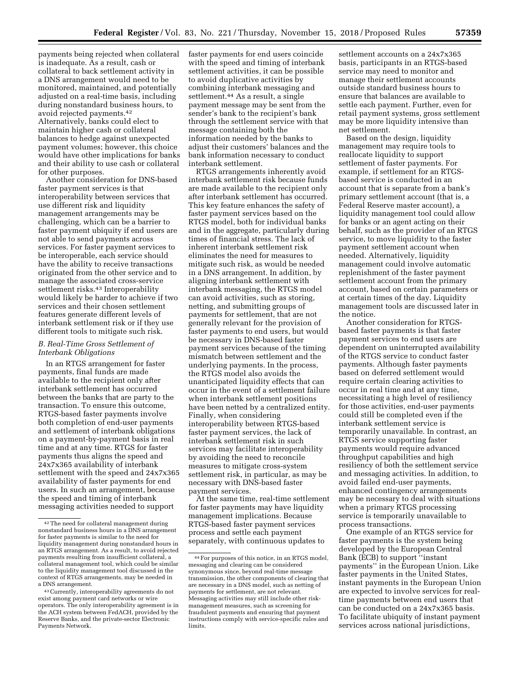payments being rejected when collateral is inadequate. As a result, cash or collateral to back settlement activity in a DNS arrangement would need to be monitored, maintained, and potentially adjusted on a real-time basis, including during nonstandard business hours, to avoid rejected payments.42 Alternatively, banks could elect to maintain higher cash or collateral balances to hedge against unexpected payment volumes; however, this choice would have other implications for banks and their ability to use cash or collateral for other purposes.

Another consideration for DNS-based faster payment services is that interoperability between services that use different risk and liquidity management arrangements may be challenging, which can be a barrier to faster payment ubiquity if end users are not able to send payments across services. For faster payment services to be interoperable, each service should have the ability to receive transactions originated from the other service and to manage the associated cross-service settlement risks.<sup>43</sup> Interoperability would likely be harder to achieve if two services and their chosen settlement features generate different levels of interbank settlement risk or if they use different tools to mitigate such risk.

## *B. Real-Time Gross Settlement of Interbank Obligations*

In an RTGS arrangement for faster payments, final funds are made available to the recipient only after interbank settlement has occurred between the banks that are party to the transaction. To ensure this outcome, RTGS-based faster payments involve both completion of end-user payments and settlement of interbank obligations on a payment-by-payment basis in real time and at any time. RTGS for faster payments thus aligns the speed and 24x7x365 availability of interbank settlement with the speed and 24x7x365 availability of faster payments for end users. In such an arrangement, because the speed and timing of interbank messaging activities needed to support

faster payments for end users coincide with the speed and timing of interbank settlement activities, it can be possible to avoid duplicative activities by combining interbank messaging and settlement.<sup>44</sup> As a result, a single payment message may be sent from the sender's bank to the recipient's bank through the settlement service with that message containing both the information needed by the banks to adjust their customers' balances and the bank information necessary to conduct interbank settlement.

RTGS arrangements inherently avoid interbank settlement risk because funds are made available to the recipient only after interbank settlement has occurred. This key feature enhances the safety of faster payment services based on the RTGS model, both for individual banks and in the aggregate, particularly during times of financial stress. The lack of inherent interbank settlement risk eliminates the need for measures to mitigate such risk, as would be needed in a DNS arrangement. In addition, by aligning interbank settlement with interbank messaging, the RTGS model can avoid activities, such as storing, netting, and submitting groups of payments for settlement, that are not generally relevant for the provision of faster payments to end users, but would be necessary in DNS-based faster payment services because of the timing mismatch between settlement and the underlying payments. In the process, the RTGS model also avoids the unanticipated liquidity effects that can occur in the event of a settlement failure when interbank settlement positions have been netted by a centralized entity. Finally, when considering interoperability between RTGS-based faster payment services, the lack of interbank settlement risk in such services may facilitate interoperability by avoiding the need to reconcile measures to mitigate cross-system settlement risk, in particular, as may be necessary with DNS-based faster payment services.

At the same time, real-time settlement for faster payments may have liquidity management implications. Because RTGS-based faster payment services process and settle each payment separately, with continuous updates to

settlement accounts on a 24x7x365 basis, participants in an RTGS-based service may need to monitor and manage their settlement accounts outside standard business hours to ensure that balances are available to settle each payment. Further, even for retail payment systems, gross settlement may be more liquidity intensive than net settlement.

Based on the design, liquidity management may require tools to reallocate liquidity to support settlement of faster payments. For example, if settlement for an RTGSbased service is conducted in an account that is separate from a bank's primary settlement account (that is, a Federal Reserve master account), a liquidity management tool could allow for banks or an agent acting on their behalf, such as the provider of an RTGS service, to move liquidity to the faster payment settlement account when needed. Alternatively, liquidity management could involve automatic replenishment of the faster payment settlement account from the primary account, based on certain parameters or at certain times of the day. Liquidity management tools are discussed later in the notice.

Another consideration for RTGSbased faster payments is that faster payment services to end users are dependent on uninterrupted availability of the RTGS service to conduct faster payments. Although faster payments based on deferred settlement would require certain clearing activities to occur in real time and at any time, necessitating a high level of resiliency for those activities, end-user payments could still be completed even if the interbank settlement service is temporarily unavailable. In contrast, an RTGS service supporting faster payments would require advanced throughput capabilities and high resiliency of both the settlement service and messaging activities. In addition, to avoid failed end-user payments, enhanced contingency arrangements may be necessary to deal with situations when a primary RTGS processing service is temporarily unavailable to process transactions.

One example of an RTGS service for faster payments is the system being developed by the European Central Bank (ECB) to support ''instant payments'' in the European Union. Like faster payments in the United States, instant payments in the European Union are expected to involve services for realtime payments between end users that can be conducted on a 24x7x365 basis. To facilitate ubiquity of instant payment services across national jurisdictions,

<sup>42</sup>The need for collateral management during nonstandard business hours in a DNS arrangement for faster payments is similar to the need for liquidity management during nonstandard hours in an RTGS arrangement. As a result, to avoid rejected payments resulting from insufficient collateral, a collateral management tool, which could be similar to the liquidity management tool discussed in the context of RTGS arrangements, may be needed in a DNS arrangement.

<sup>43</sup>Currently, interoperability agreements do not exist among payment card networks or wire operators. The only interoperability agreement is in the ACH system between FedACH, provided by the Reserve Banks, and the private-sector Electronic Payments Network.

<sup>44</sup>For purposes of this notice, in an RTGS model, messaging and clearing can be considered synonymous since, beyond real-time message transmission, the other components of clearing that are necessary in a DNS model, such as netting of payments for settlement, are not relevant. Messaging activities may still include other riskmanagement measures, such as screening for fraudulent payments and ensuring that payment instructions comply with service-specific rules and limits.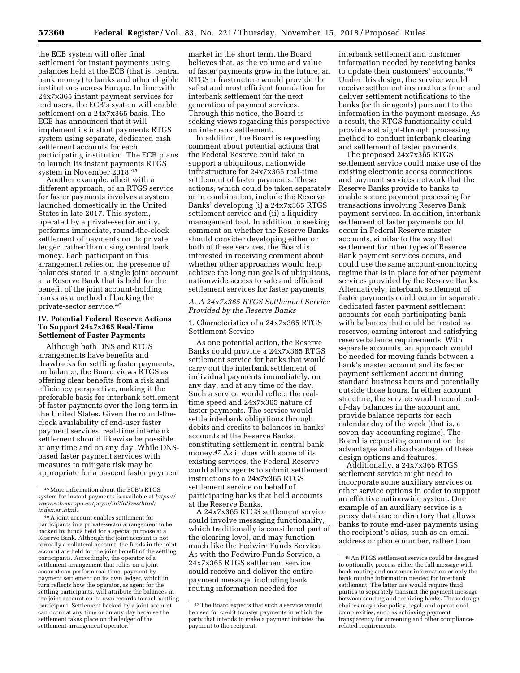the ECB system will offer final settlement for instant payments using balances held at the ECB (that is, central bank money) to banks and other eligible institutions across Europe. In line with 24x7x365 instant payment services for end users, the ECB's system will enable settlement on a 24x7x365 basis. The ECB has announced that it will implement its instant payments RTGS system using separate, dedicated cash settlement accounts for each participating institution. The ECB plans to launch its instant payments RTGS system in November 2018.45

Another example, albeit with a different approach, of an RTGS service for faster payments involves a system launched domestically in the United States in late 2017. This system, operated by a private-sector entity, performs immediate, round-the-clock settlement of payments on its private ledger, rather than using central bank money. Each participant in this arrangement relies on the presence of balances stored in a single joint account at a Reserve Bank that is held for the benefit of the joint account-holding banks as a method of backing the private-sector service.46

## **IV. Potential Federal Reserve Actions To Support 24x7x365 Real-Time Settlement of Faster Payments**

Although both DNS and RTGS arrangements have benefits and drawbacks for settling faster payments, on balance, the Board views RTGS as offering clear benefits from a risk and efficiency perspective, making it the preferable basis for interbank settlement of faster payments over the long term in the United States. Given the round-theclock availability of end-user faster payment services, real-time interbank settlement should likewise be possible at any time and on any day. While DNSbased faster payment services with measures to mitigate risk may be appropriate for a nascent faster payment

46A joint account enables settlement for participants in a private-sector arrangement to be backed by funds held for a special purpose at a Reserve Bank. Although the joint account is not formally a collateral account, the funds in the joint account are held for the joint benefit of the settling participants. Accordingly, the operator of a settlement arrangement that relies on a joint account can perform real-time, payment-bypayment settlement on its own ledger, which in turn reflects how the operator, as agent for the settling participants, will attribute the balances in the joint account on its own records to each settling participant. Settlement backed by a joint account can occur at any time or on any day because the settlement takes place on the ledger of the settlement-arrangement operator.

market in the short term, the Board believes that, as the volume and value of faster payments grow in the future, an RTGS infrastructure would provide the safest and most efficient foundation for interbank settlement for the next generation of payment services. Through this notice, the Board is seeking views regarding this perspective on interbank settlement.

In addition, the Board is requesting comment about potential actions that the Federal Reserve could take to support a ubiquitous, nationwide infrastructure for 24x7x365 real-time settlement of faster payments. These actions, which could be taken separately or in combination, include the Reserve Banks' developing (i) a 24x7x365 RTGS settlement service and (ii) a liquidity management tool. In addition to seeking comment on whether the Reserve Banks should consider developing either or both of these services, the Board is interested in receiving comment about whether other approaches would help achieve the long run goals of ubiquitous, nationwide access to safe and efficient settlement services for faster payments.

## *A. A 24x7x365 RTGS Settlement Service Provided by the Reserve Banks*

1. Characteristics of a 24x7x365 RTGS Settlement Service

As one potential action, the Reserve Banks could provide a 24x7x365 RTGS settlement service for banks that would carry out the interbank settlement of individual payments immediately, on any day, and at any time of the day. Such a service would reflect the realtime speed and 24x7x365 nature of faster payments. The service would settle interbank obligations through debits and credits to balances in banks' accounts at the Reserve Banks, constituting settlement in central bank money.47 As it does with some of its existing services, the Federal Reserve could allow agents to submit settlement instructions to a 24x7x365 RTGS settlement service on behalf of participating banks that hold accounts at the Reserve Banks.

A 24x7x365 RTGS settlement service could involve messaging functionality, which traditionally is considered part of the clearing level, and may function much like the Fedwire Funds Service. As with the Fedwire Funds Service, a 24x7x365 RTGS settlement service could receive and deliver the entire payment message, including bank routing information needed for

interbank settlement and customer information needed by receiving banks to update their customers' accounts.48 Under this design, the service would receive settlement instructions from and deliver settlement notifications to the banks (or their agents) pursuant to the information in the payment message. As a result, the RTGS functionality could provide a straight-through processing method to conduct interbank clearing and settlement of faster payments.

The proposed 24x7x365 RTGS settlement service could make use of the existing electronic access connections and payment services network that the Reserve Banks provide to banks to enable secure payment processing for transactions involving Reserve Bank payment services. In addition, interbank settlement of faster payments could occur in Federal Reserve master accounts, similar to the way that settlement for other types of Reserve Bank payment services occurs, and could use the same account-monitoring regime that is in place for other payment services provided by the Reserve Banks. Alternatively, interbank settlement of faster payments could occur in separate, dedicated faster payment settlement accounts for each participating bank with balances that could be treated as reserves, earning interest and satisfying reserve balance requirements. With separate accounts, an approach would be needed for moving funds between a bank's master account and its faster payment settlement account during standard business hours and potentially outside those hours. In either account structure, the service would record endof-day balances in the account and provide balance reports for each calendar day of the week (that is, a seven-day accounting regime). The Board is requesting comment on the advantages and disadvantages of these design options and features.

Additionally, a 24x7x365 RTGS settlement service might need to incorporate some auxiliary services or other service options in order to support an effective nationwide system. One example of an auxiliary service is a proxy database or directory that allows banks to route end-user payments using the recipient's alias, such as an email address or phone number, rather than

<sup>45</sup>More information about the ECB's RTGS system for instant payments is available at *[https://](https://www.ecb.europa.eu/paym/initiatives/html/index.en.html)  [www.ecb.europa.eu/paym/initiatives/html/](https://www.ecb.europa.eu/paym/initiatives/html/index.en.html)  [index.en.html.](https://www.ecb.europa.eu/paym/initiatives/html/index.en.html)* 

<sup>47</sup>The Board expects that such a service would be used for credit transfer payments in which the party that intends to make a payment initiates the payment to the recipient.

<sup>48</sup>An RTGS settlement service could be designed to optionally process either the full message with bank routing and customer information or only the bank routing information needed for interbank settlement. The latter use would require third parties to separately transmit the payment message between sending and receiving banks. These design choices may raise policy, legal, and operational complexities, such as achieving payment transparency for screening and other compliancerelated requirements.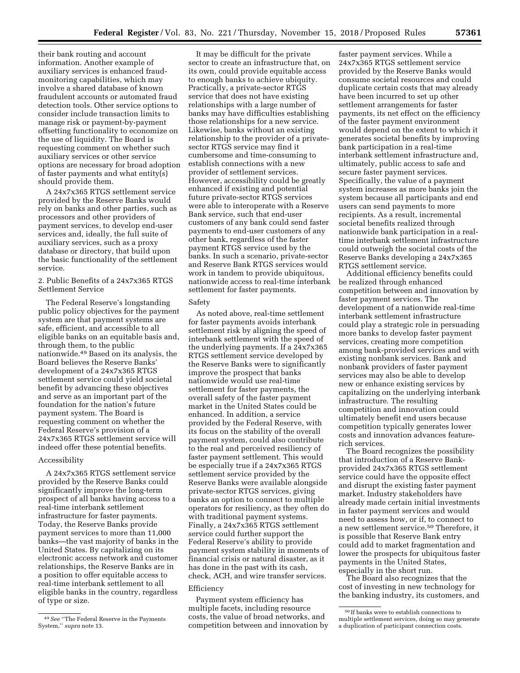their bank routing and account information. Another example of auxiliary services is enhanced fraudmonitoring capabilities, which may involve a shared database of known fraudulent accounts or automated fraud detection tools. Other service options to consider include transaction limits to manage risk or payment-by-payment offsetting functionality to economize on the use of liquidity. The Board is requesting comment on whether such auxiliary services or other service options are necessary for broad adoption of faster payments and what entity(s) should provide them.

A 24x7x365 RTGS settlement service provided by the Reserve Banks would rely on banks and other parties, such as processors and other providers of payment services, to develop end-user services and, ideally, the full suite of auxiliary services, such as a proxy database or directory, that build upon the basic functionality of the settlement service.

## 2. Public Benefits of a 24x7x365 RTGS Settlement Service

The Federal Reserve's longstanding public policy objectives for the payment system are that payment systems are safe, efficient, and accessible to all eligible banks on an equitable basis and, through them, to the public nationwide.49 Based on its analysis, the Board believes the Reserve Banks' development of a 24x7x365 RTGS settlement service could yield societal benefit by advancing these objectives and serve as an important part of the foundation for the nation's future payment system. The Board is requesting comment on whether the Federal Reserve's provision of a 24x7x365 RTGS settlement service will indeed offer these potential benefits.

## Accessibility

A 24x7x365 RTGS settlement service provided by the Reserve Banks could significantly improve the long-term prospect of all banks having access to a real-time interbank settlement infrastructure for faster payments. Today, the Reserve Banks provide payment services to more than 11,000 banks—the vast majority of banks in the United States. By capitalizing on its electronic access network and customer relationships, the Reserve Banks are in a position to offer equitable access to real-time interbank settlement to all eligible banks in the country, regardless of type or size.

It may be difficult for the private sector to create an infrastructure that, on its own, could provide equitable access to enough banks to achieve ubiquity. Practically, a private-sector RTGS service that does not have existing relationships with a large number of banks may have difficulties establishing those relationships for a new service. Likewise, banks without an existing relationship to the provider of a privatesector RTGS service may find it cumbersome and time-consuming to establish connections with a new provider of settlement services. However, accessibility could be greatly enhanced if existing and potential future private-sector RTGS services were able to interoperate with a Reserve Bank service, such that end-user customers of any bank could send faster payments to end-user customers of any other bank, regardless of the faster payment RTGS service used by the banks. In such a scenario, private-sector and Reserve Bank RTGS services would work in tandem to provide ubiquitous, nationwide access to real-time interbank settlement for faster payments.

## Safety

As noted above, real-time settlement for faster payments avoids interbank settlement risk by aligning the speed of interbank settlement with the speed of the underlying payments. If a 24x7x365 RTGS settlement service developed by the Reserve Banks were to significantly improve the prospect that banks nationwide would use real-time settlement for faster payments, the overall safety of the faster payment market in the United States could be enhanced. In addition, a service provided by the Federal Reserve, with its focus on the stability of the overall payment system, could also contribute to the real and perceived resiliency of faster payment settlement. This would be especially true if a 24x7x365 RTGS settlement service provided by the Reserve Banks were available alongside private-sector RTGS services, giving banks an option to connect to multiple operators for resiliency, as they often do with traditional payment systems. Finally, a 24x7x365 RTGS settlement service could further support the Federal Reserve's ability to provide payment system stability in moments of financial crisis or natural disaster, as it has done in the past with its cash, check, ACH, and wire transfer services.

### Efficiency

Payment system efficiency has multiple facets, including resource costs, the value of broad networks, and competition between and innovation by

faster payment services. While a 24x7x365 RTGS settlement service provided by the Reserve Banks would consume societal resources and could duplicate certain costs that may already have been incurred to set up other settlement arrangements for faster payments, its net effect on the efficiency of the faster payment environment would depend on the extent to which it generates societal benefits by improving bank participation in a real-time interbank settlement infrastructure and, ultimately, public access to safe and secure faster payment services. Specifically, the value of a payment system increases as more banks join the system because all participants and end users can send payments to more recipients. As a result, incremental societal benefits realized through nationwide bank participation in a realtime interbank settlement infrastructure could outweigh the societal costs of the Reserve Banks developing a 24x7x365 RTGS settlement service.

Additional efficiency benefits could be realized through enhanced competition between and innovation by faster payment services. The development of a nationwide real-time interbank settlement infrastructure could play a strategic role in persuading more banks to develop faster payment services, creating more competition among bank-provided services and with existing nonbank services. Bank and nonbank providers of faster payment services may also be able to develop new or enhance existing services by capitalizing on the underlying interbank infrastructure. The resulting competition and innovation could ultimately benefit end users because competition typically generates lower costs and innovation advances featurerich services.

The Board recognizes the possibility that introduction of a Reserve Bankprovided 24x7x365 RTGS settlement service could have the opposite effect and disrupt the existing faster payment market. Industry stakeholders have already made certain initial investments in faster payment services and would need to assess how, or if, to connect to a new settlement service.50 Therefore, it is possible that Reserve Bank entry could add to market fragmentation and lower the prospects for ubiquitous faster payments in the United States, especially in the short run.

The Board also recognizes that the cost of investing in new technology for the banking industry, its customers, and

<sup>49</sup>*See* ''The Federal Reserve in the Payments System,'' *supra* note 13.

<sup>50</sup> If banks were to establish connections to multiple settlement services, doing so may generate a duplication of participant connection costs.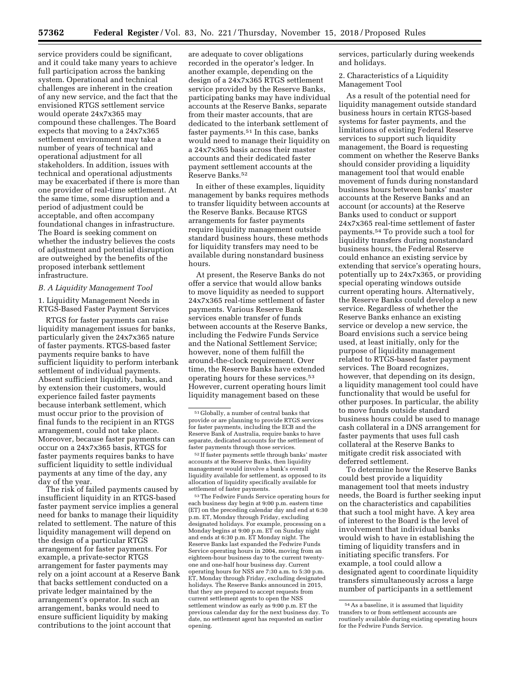service providers could be significant, and it could take many years to achieve full participation across the banking system. Operational and technical challenges are inherent in the creation of any new service, and the fact that the envisioned RTGS settlement service would operate 24x7x365 may compound these challenges. The Board expects that moving to a 24x7x365 settlement environment may take a number of years of technical and operational adjustment for all stakeholders. In addition, issues with technical and operational adjustments may be exacerbated if there is more than one provider of real-time settlement. At the same time, some disruption and a period of adjustment could be acceptable, and often accompany foundational changes in infrastructure. The Board is seeking comment on whether the industry believes the costs of adjustment and potential disruption are outweighed by the benefits of the proposed interbank settlement infrastructure.

#### *B. A Liquidity Management Tool*

1. Liquidity Management Needs in RTGS-Based Faster Payment Services

RTGS for faster payments can raise liquidity management issues for banks, particularly given the 24x7x365 nature of faster payments. RTGS-based faster payments require banks to have sufficient liquidity to perform interbank settlement of individual payments. Absent sufficient liquidity, banks, and by extension their customers, would experience failed faster payments because interbank settlement, which must occur prior to the provision of final funds to the recipient in an RTGS arrangement, could not take place. Moreover, because faster payments can occur on a 24x7x365 basis, RTGS for faster payments requires banks to have sufficient liquidity to settle individual payments at any time of the day, any day of the year.

The risk of failed payments caused by insufficient liquidity in an RTGS-based faster payment service implies a general need for banks to manage their liquidity related to settlement. The nature of this liquidity management will depend on the design of a particular RTGS arrangement for faster payments. For example, a private-sector RTGS arrangement for faster payments may rely on a joint account at a Reserve Bank that backs settlement conducted on a private ledger maintained by the arrangement's operator. In such an arrangement, banks would need to ensure sufficient liquidity by making contributions to the joint account that

are adequate to cover obligations recorded in the operator's ledger. In another example, depending on the design of a 24x7x365 RTGS settlement service provided by the Reserve Banks, participating banks may have individual accounts at the Reserve Banks, separate from their master accounts, that are dedicated to the interbank settlement of faster payments.51 In this case, banks would need to manage their liquidity on a 24x7x365 basis across their master accounts and their dedicated faster payment settlement accounts at the Reserve Banks.52

In either of these examples, liquidity management by banks requires methods to transfer liquidity between accounts at the Reserve Banks. Because RTGS arrangements for faster payments require liquidity management outside standard business hours, these methods for liquidity transfers may need to be available during nonstandard business hours.

At present, the Reserve Banks do not offer a service that would allow banks to move liquidity as needed to support 24x7x365 real-time settlement of faster payments. Various Reserve Bank services enable transfer of funds between accounts at the Reserve Banks, including the Fedwire Funds Service and the National Settlement Service; however, none of them fulfill the around-the-clock requirement. Over time, the Reserve Banks have extended operating hours for these services.53 However, current operating hours limit liquidity management based on these

53The Fedwire Funds Service operating hours for each business day begin at 9:00 p.m. eastern time (ET) on the preceding calendar day and end at 6:30 p.m. ET, Monday through Friday, excluding designated holidays. For example, processing on a Monday begins at 9:00 p.m. ET on Sunday night and ends at 6:30 p.m. ET Monday night. The Reserve Banks last expanded the Fedwire Funds Service operating hours in 2004, moving from an eighteen-hour business day to the current twentyone and one-half hour business day. Current operating hours for NSS are 7:30 a.m. to 5:30 p.m. ET, Monday through Friday, excluding designated holidays. The Reserve Banks announced in 2015, that they are prepared to accept requests from current settlement agents to open the NSS settlement window as early as 9:00 p.m. ET the previous calendar day for the next business day. To date, no settlement agent has requested an earlier opening.

services, particularly during weekends and holidays.

2. Characteristics of a Liquidity Management Tool

As a result of the potential need for liquidity management outside standard business hours in certain RTGS-based systems for faster payments, and the limitations of existing Federal Reserve services to support such liquidity management, the Board is requesting comment on whether the Reserve Banks should consider providing a liquidity management tool that would enable movement of funds during nonstandard business hours between banks' master accounts at the Reserve Banks and an account (or accounts) at the Reserve Banks used to conduct or support 24x7x365 real-time settlement of faster payments.54 To provide such a tool for liquidity transfers during nonstandard business hours, the Federal Reserve could enhance an existing service by extending that service's operating hours, potentially up to 24x7x365, or providing special operating windows outside current operating hours. Alternatively, the Reserve Banks could develop a new service. Regardless of whether the Reserve Banks enhance an existing service or develop a new service, the Board envisions such a service being used, at least initially, only for the purpose of liquidity management related to RTGS-based faster payment services. The Board recognizes, however, that depending on its design, a liquidity management tool could have functionality that would be useful for other purposes. In particular, the ability to move funds outside standard business hours could be used to manage cash collateral in a DNS arrangement for faster payments that uses full cash collateral at the Reserve Banks to mitigate credit risk associated with deferred settlement.

To determine how the Reserve Banks could best provide a liquidity management tool that meets industry needs, the Board is further seeking input on the characteristics and capabilities that such a tool might have. A key area of interest to the Board is the level of involvement that individual banks would wish to have in establishing the timing of liquidity transfers and in initiating specific transfers. For example, a tool could allow a designated agent to coordinate liquidity transfers simultaneously across a large number of participants in a settlement

<sup>51</sup> Globally, a number of central banks that provide or are planning to provide RTGS services for faster payments, including the ECB and the Reserve Bank of Australia, require banks to have separate, dedicated accounts for the settlement of faster payments through those services.

<sup>52</sup> If faster payments settle through banks' master accounts at the Reserve Banks, then liquidity management would involve a bank's overall liquidity available for settlement, as opposed to its allocation of liquidity specifically available for settlement of faster payments.

<sup>54</sup>As a baseline, it is assumed that liquidity transfers to or from settlement accounts are routinely available during existing operating hours for the Fedwire Funds Service.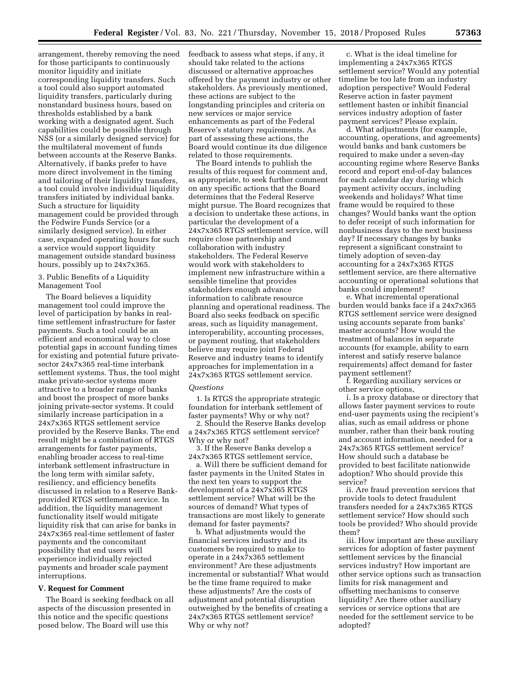arrangement, thereby removing the need for those participants to continuously monitor liquidity and initiate corresponding liquidity transfers. Such a tool could also support automated liquidity transfers, particularly during nonstandard business hours, based on thresholds established by a bank working with a designated agent. Such capabilities could be possible through NSS (or a similarly designed service) for the multilateral movement of funds between accounts at the Reserve Banks. Alternatively, if banks prefer to have more direct involvement in the timing and tailoring of their liquidity transfers, a tool could involve individual liquidity transfers initiated by individual banks. Such a structure for liquidity management could be provided through the Fedwire Funds Service (or a similarly designed service). In either case, expanded operating hours for such a service would support liquidity management outside standard business hours, possibly up to 24x7x365.

#### 3. Public Benefits of a Liquidity Management Tool

The Board believes a liquidity management tool could improve the level of participation by banks in realtime settlement infrastructure for faster payments. Such a tool could be an efficient and economical way to close potential gaps in account funding times for existing and potential future privatesector 24x7x365 real-time interbank settlement systems. Thus, the tool might make private-sector systems more attractive to a broader range of banks and boost the prospect of more banks joining private-sector systems. It could similarly increase participation in a 24x7x365 RTGS settlement service provided by the Reserve Banks. The end result might be a combination of RTGS arrangements for faster payments, enabling broader access to real-time interbank settlement infrastructure in the long term with similar safety, resiliency, and efficiency benefits discussed in relation to a Reserve Bankprovided RTGS settlement service. In addition, the liquidity management functionality itself would mitigate liquidity risk that can arise for banks in 24x7x365 real-time settlement of faster payments and the concomitant possibility that end users will experience individually rejected payments and broader scale payment interruptions.

#### **V. Request for Comment**

The Board is seeking feedback on all aspects of the discussion presented in this notice and the specific questions posed below. The Board will use this

feedback to assess what steps, if any, it should take related to the actions discussed or alternative approaches offered by the payment industry or other stakeholders. As previously mentioned, these actions are subject to the longstanding principles and criteria on new services or major service enhancements as part of the Federal Reserve's statutory requirements. As part of assessing these actions, the Board would continue its due diligence related to those requirements.

The Board intends to publish the results of this request for comment and, as appropriate, to seek further comment on any specific actions that the Board determines that the Federal Reserve might pursue. The Board recognizes that a decision to undertake these actions, in particular the development of a 24x7x365 RTGS settlement service, will require close partnership and collaboration with industry stakeholders. The Federal Reserve would work with stakeholders to implement new infrastructure within a sensible timeline that provides stakeholders enough advance information to calibrate resource planning and operational readiness. The Board also seeks feedback on specific areas, such as liquidity management, interoperability, accounting processes, or payment routing, that stakeholders believe may require joint Federal Reserve and industry teams to identify approaches for implementation in a 24x7x365 RTGS settlement service.

#### *Questions*

1. Is RTGS the appropriate strategic foundation for interbank settlement of faster payments? Why or why not?

2. Should the Reserve Banks develop a 24x7x365 RTGS settlement service? Why or why not?

3. If the Reserve Banks develop a 24x7x365 RTGS settlement service,

a. Will there be sufficient demand for faster payments in the United States in the next ten years to support the development of a 24x7x365 RTGS settlement service? What will be the sources of demand? What types of transactions are most likely to generate demand for faster payments?

b. What adjustments would the financial services industry and its customers be required to make to operate in a 24x7x365 settlement environment? Are these adjustments incremental or substantial? What would be the time frame required to make these adjustments? Are the costs of adjustment and potential disruption outweighed by the benefits of creating a 24x7x365 RTGS settlement service? Why or why not?

c. What is the ideal timeline for implementing a 24x7x365 RTGS settlement service? Would any potential timeline be too late from an industry adoption perspective? Would Federal Reserve action in faster payment settlement hasten or inhibit financial services industry adoption of faster payment services? Please explain.

d. What adjustments (for example, accounting, operations, and agreements) would banks and bank customers be required to make under a seven-day accounting regime where Reserve Banks record and report end-of-day balances for each calendar day during which payment activity occurs, including weekends and holidays? What time frame would be required to these changes? Would banks want the option to defer receipt of such information for nonbusiness days to the next business day? If necessary changes by banks represent a significant constraint to timely adoption of seven-day accounting for a 24x7x365 RTGS settlement service, are there alternative accounting or operational solutions that banks could implement?

e. What incremental operational burden would banks face if a 24x7x365 RTGS settlement service were designed using accounts separate from banks' master accounts? How would the treatment of balances in separate accounts (for example, ability to earn interest and satisfy reserve balance requirements) affect demand for faster payment settlement?

f. Regarding auxiliary services or other service options,

i. Is a proxy database or directory that allows faster payment services to route end-user payments using the recipient's alias, such as email address or phone number, rather than their bank routing and account information, needed for a 24x7x365 RTGS settlement service? How should such a database be provided to best facilitate nationwide adoption? Who should provide this service?

ii. Are fraud prevention services that provide tools to detect fraudulent transfers needed for a 24x7x365 RTGS settlement service? How should such tools be provided? Who should provide them?

iii. How important are these auxiliary services for adoption of faster payment settlement services by the financial services industry? How important are other service options such as transaction limits for risk management and offsetting mechanisms to conserve liquidity? Are there other auxiliary services or service options that are needed for the settlement service to be adopted?